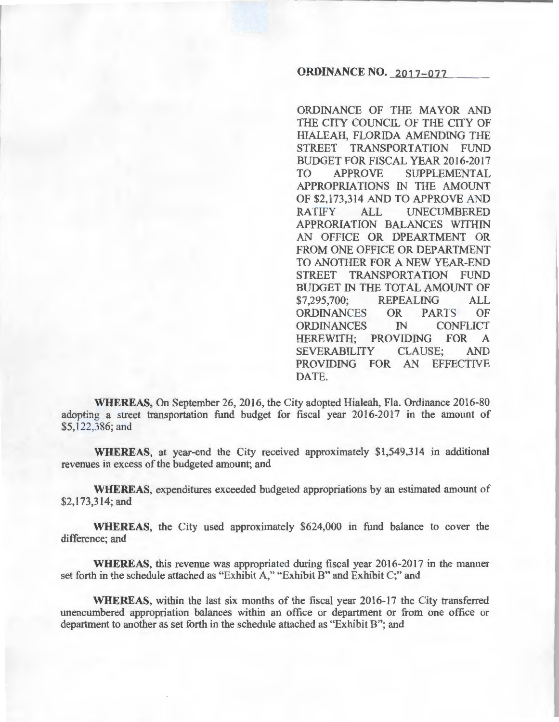### ORDINANCE NO. 2017-077

ORDINANCE OF THE MAYOR AND THE CITY COUNCIL OF THE CITY OF HIALEAH, FLORIDA AMENDING THE STREET TRANSPORTATION FUND BUDGET FOR FISCAL YEAR 2016-2017 TO APPROVE SUPPLEMENTAL APPROPRIATIONS IN THE AMOUNT OF \$2,173,314 AND TO APPROVE AND RATIFY ALL UNECUMBERED APPRORIATION BALANCES WITHIN AN OFFICE OR DPEARTMENT OR FROM ONE OFFICE OR DEPARTMENT TO ANOTHER FOR A NEW YEAR-END STREET TRANSPORTATION FUND BUDGET IN THE TOTAL AMOUNT OF \$7,295,700; REPEALING ALL ORDINANCES OR PARTS OF ORDINANCES IN CONFLICT<br>HEREWITH: PROVIDING FOR A HEREWITH; PROVIDING SEVERABILITY CLAUSE; AND PROVIDING FOR AN EFFECTIVE DATE.

WHEREAS, On September 26, 2016, the City adopted Hialeah, Fla. Ordinance 2016-80 adopting a street transportation fund budget for fiscal year 2016-2017 in the amount of \$5,122,386; and

WHEREAS, at year-end the City received approximately \$1,549,314 in additional revenues in excess of the budgeted amount; and

WHEREAS, expenditures exceeded budgeted appropriations by an estimated amount of \$2,173,314; and

WHEREAS, the City used approximately \$624,000 in fund balance to cover the difference; and

WHEREAS, this revenue was appropriated during fiscal year 2016-2017 in the manner set forth in the schedule attached as "Exhibit A," "Exhibit B" and Exhibit C;" and

WHEREAS, within the last six months of the fiscal year 2016-17 the City transferred unencumbered appropriation balances within an office or department or from one office or department to another as set forth in the schedule attached as "Exhibit B"; and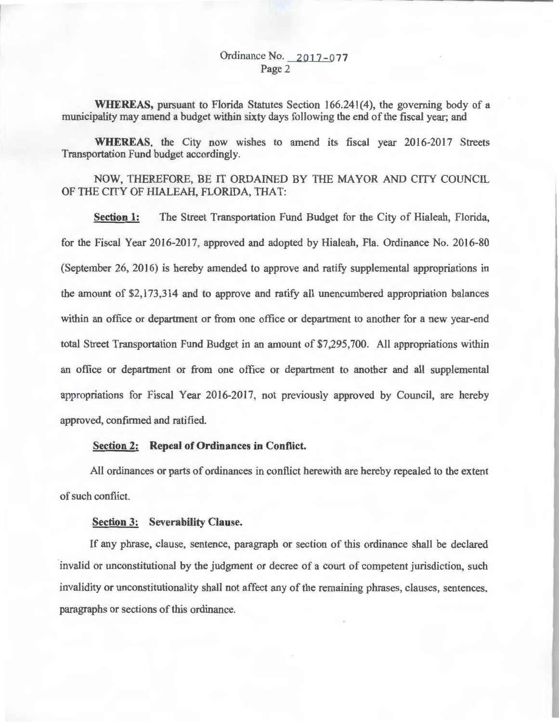### Ordinance No. 2017-077 Page 2

**WHEREAS,** pursuant to Florida Statutes Section 166.241(4), the governing body of a municipality may amend a budget within sixty days following the end of the fiscal year; and

**WHEREAS,** the City now wishes to amend its fiscal year 2016-2017 Streets Transportation Fund budget accordingly.

NOW, THEREFORE, BE IT ORDAINED BY THE MAYOR AND CITY COUNCIL OF THE CITY OF HIALEAH, FLORIDA, THAT:

**Section 1:** The Street Transportation Fund Budget for the City of Hialeah, Florida, for the Fiscal Year 2016-2017, approved and adopted by Hialeah, Fla. Ordinance No. 2016-80 (September 26, 2016) is hereby amended to approve and ratify supplemental appropriations in the amount of \$2, 173,314 and to approve and ratify all unencumbered appropriation balances within an office or department or from one office or department to another for a new year-end total Street Transportation Fund Budget in an amount of \$7,295,700. All appropriations within an office or department or from one office or department to another and all supplemental appropriations for Fiscal Year 2016-2017, not previously approved by Council, are hereby approved, confirmed and ratified.

#### **Section 2: Repeal of Ordinances in Conflict.**

All ordinances or parts of ordinances in conflict herewith are hereby repealed to the extent of such conflict.

### **Section 3: Severability Clause.**

If any phrase, clause, sentence, paragraph or section of this ordinance shall be declared invalid or unconstitutional by the judgment or decree of a court of competent jurisdiction, such invalidity or unconstitutionality shall not affect any of the remaining phrases, clauses, sentences, paragraphs or sections of this ordinance.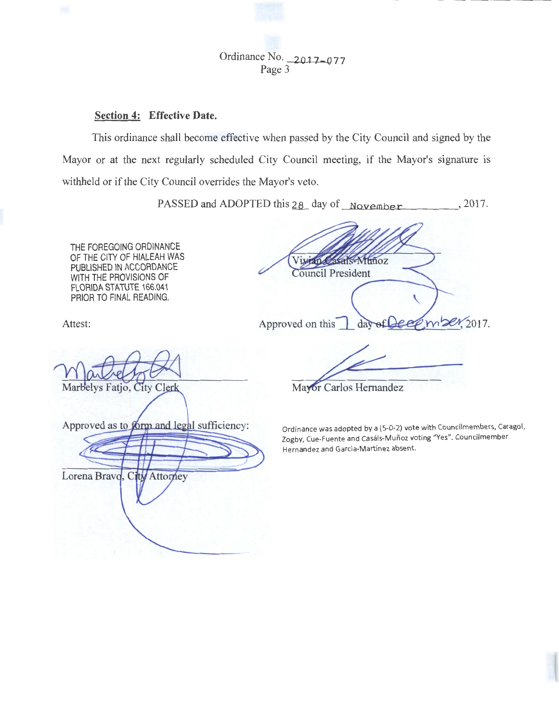

### **Section 4: Effective Date.**

This ordinance shall become effective when passed by the City Council and signed by the Mayor or at the next regularly scheduled City Council meeting, if the Mayor's signature is withheld or if the City Council overrides the Mayor's veto.

PASSED and ADOPTED this 28 day of November 3017.

THE FOREGOING ORDINANCE OF THE CITY OF HIALEAH WAS PUBLISHED IN ACCORDANCE WITH THE PROVISIONS OF FLORIDA STATUTE 166.041 PRIOR TO FINAL READING.

Attest:

Visitand asals-Muñoz Council President ember 2017. Approved on this day of Lee

Mayor Carlos Hernandez

Ordinance was adopted by a (5-0-2) vote with Councilmembers, Caragol, Zogby, Cue-Fuente and Casáls-Muñoz voting "Yes". Councilmember Hernandez and Garcia-Martinez absent.

Marbelys Fatjo, City Clerk

Approved as to form and legal sufficiency:

Lorena Bravo, City Attorney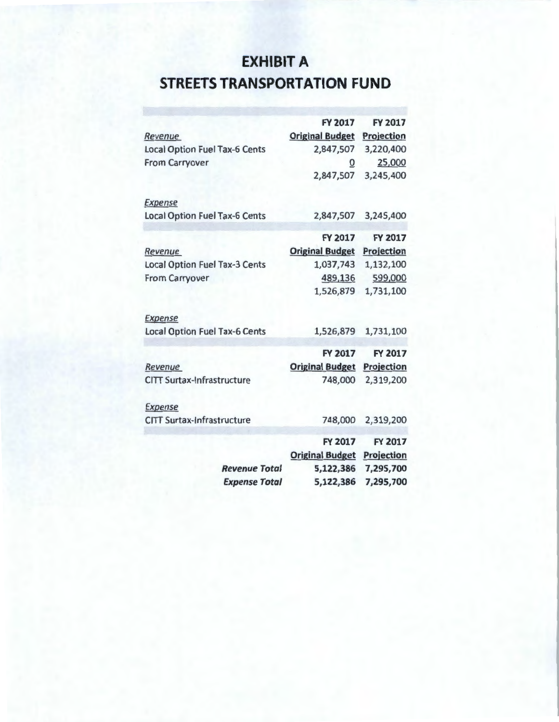# **EXHIBIT A STREETS TRANSPORTATION FUND**

|                                      | <b>FY 2017</b>         | <b>FY 2017</b>    |
|--------------------------------------|------------------------|-------------------|
| <b>Revenue</b>                       | <b>Original Budget</b> | Projection        |
| <b>Local Option Fuel Tax-6 Cents</b> | 2,847,507              | 3,220,400         |
| <b>From Carryover</b>                | 0                      | 25,000            |
|                                      | 2,847,507              | 3,245,400         |
| <b>Expense</b>                       |                        |                   |
| <b>Local Option Fuel Tax-6 Cents</b> | 2,847,507              | 3,245,400         |
|                                      | <b>FY 2017</b>         | <b>FY 2017</b>    |
|                                      |                        |                   |
| Revenue                              | <b>Original Budget</b> | <b>Projection</b> |
| <b>Local Option Fuel Tax-3 Cents</b> | 1,037,743              | 1,132,100         |
| <b>From Carryover</b>                | 489,136                | 599,000           |
|                                      | 1,526,879              | 1,731,100         |
| <b>Expense</b>                       |                        |                   |
| <b>Local Option Fuel Tax-6 Cents</b> | 1,526,879              | 1,731,100         |
|                                      | <b>FY 2017</b>         | <b>FY 2017</b>    |
| Revenue                              | <b>Original Budget</b> | Projection        |
| <b>CITT Surtax-Infrastructure</b>    | 748,000                | 2,319,200         |
| <b>Expense</b>                       |                        |                   |
| <b>CITT Surtax-Infrastructure</b>    | 748,000                | 2,319,200         |
|                                      | <b>FY 2017</b>         | <b>FY 2017</b>    |
|                                      | <b>Original Budget</b> | <b>Projection</b> |
| <b>Revenue Total</b>                 | 5,122,386              | 7,295,700         |
| <b>Expense Total</b>                 | 5,122,386              | 7,295,700         |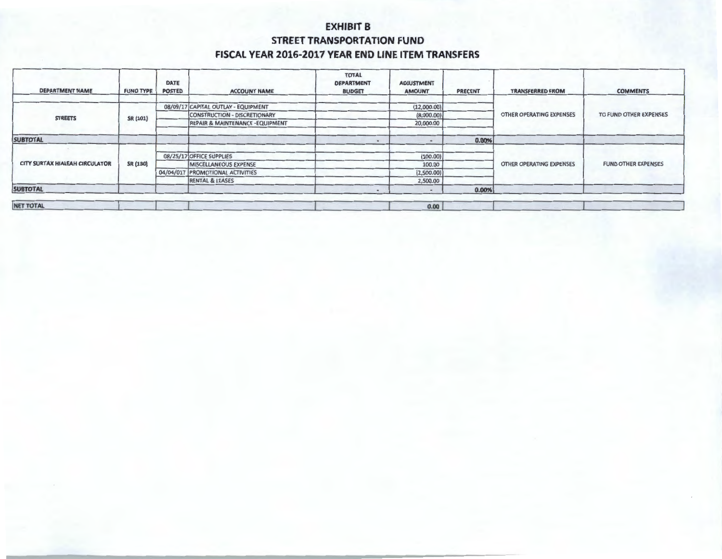## **EXHIBIT B STREET TRANSPORTATION FUND FISCAL YEAR 2016-2017 YEAR END LINE ITEM TRANSFERS**

| <b>DEPARTMENT NAME</b>                | <b>FUND TYPE</b> | DATE<br><b>POSTED</b> | <b>ACCOUNT NAME</b>                 | <b>TOTAL</b><br><b>DEPARTMENT</b><br><b>BUDGET</b> | <b>ADJUSTMENT</b><br><b>AMOUNT</b> | <b>PRECENT</b> | <b>TRANSFERRED FROM</b>         | <b>COMMENTS</b>            |
|---------------------------------------|------------------|-----------------------|-------------------------------------|----------------------------------------------------|------------------------------------|----------------|---------------------------------|----------------------------|
| <b>STREETS</b>                        | SR (101)         |                       | 08/09/17 CAPITAL OUTLAY - EQUIPMENT |                                                    | (12,000.00)                        |                | <b>OTHER OPERATING EXPENSES</b> | TO FUND OTHER EXPENSES     |
|                                       |                  |                       | CONSTRUCTION - DISCRETIONARY        |                                                    | (8,000.00)                         |                |                                 |                            |
|                                       |                  |                       | REPAIR & MAINTENANCE - EQUIPMENT    |                                                    | 20,000.00                          |                |                                 |                            |
| <b>SUBTOTAL</b>                       |                  |                       |                                     |                                                    |                                    | 0.00%          |                                 |                            |
| <b>CITY SURTAX HIALEAH CIRCULATOR</b> | SR (130)         |                       | 08/25/17 OFFICE SUPPLIES            |                                                    | (100.00)                           |                | <b>OTHER OPERATING EXPENSES</b> | <b>FUND OTHER EXPENSES</b> |
|                                       |                  |                       | MISCELLANEOUS EXPENSE               |                                                    | 100.00                             |                |                                 |                            |
|                                       |                  |                       | 04/04/017 PROMOTIONAL ACTIVITIES    |                                                    | (2,500.00)                         |                |                                 |                            |
|                                       |                  |                       | <b>RENTAL &amp; LEASES</b>          |                                                    | 2,500.00                           |                |                                 |                            |
| <b>SUBTOTAL</b>                       |                  |                       |                                     |                                                    |                                    | 0.00%          |                                 |                            |
| <b>NET TOTAL</b>                      |                  |                       |                                     |                                                    | 0.00                               |                |                                 |                            |